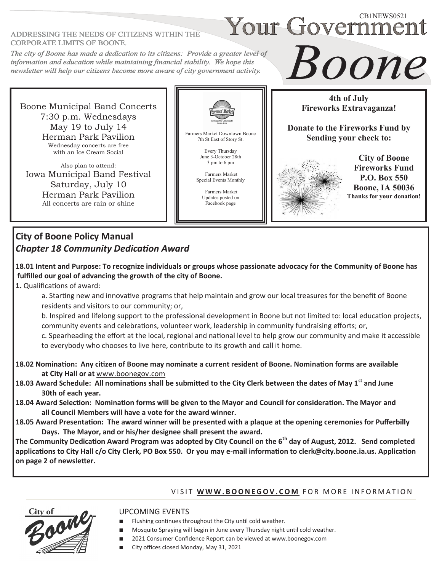#### ADDRESSING THE NEEDS OF CITIZENS WITHIN THE **CORPORATE LIMITS OF BOONE.**

# The city of Boone has made a dedication to its citizens: Provide a greater level of information and education while maintaining financial stability. We hope this newsletter will help our citizens become more aware of city government activity.



Also plan to attend: Iowa Municipal Band Festival Saturday, July 10 Herman Park Pavilion All concerts are rain or shine



Farmers Market Downtown Boone 7th St East of Story St.

> Every Thursday June 3-October 28th 3 pm to 6 pm

Farmers Market Special Events Monthly

> Farmers Market Updates posted on Facebook page

**4th of July Fireworks Extravaganza!**

Boone

Your Government

**Donate to the Fireworks Fund by Sending your check to:**



**City of Boone Fireworks Fund P.O. Box 550 Boone, IA 50036 Thanks for your donation!**

# **City of Boone Policy Manual** *Chapter 18 Community Dedication Award*

**18.01 Intent and Purpose: To recognize individuals or groups whose passionate advocacy for the Community of Boone has fulfilled our goal of advancing the growth of the city of Boone.** 

### **1.** Qualifications of award:

a. Starting new and innovative programs that help maintain and grow our local treasures for the benefit of Boone residents and visitors to our community; or,

b. Inspired and lifelong support to the professional development in Boone but not limited to: local education projects, community events and celebrations, volunteer work, leadership in community fundraising efforts; or,

c. Spearheading the effort at the local, regional and national level to help grow our community and make it accessible to everybody who chooses to live here, contribute to its growth and call it home.

- **18.02 Nomination: Any citizen of Boone may nominate a current resident of Boone. Nomination forms are available at City Hall or at** [www.boonegov.com](http://www.boonegov.com)
- **18.03 Award Schedule: All nominations shall be submitted to the City Clerk between the dates of May 1st and June 30th of each year.**
- **18.04 Award Selection: Nomination forms will be given to the Mayor and Council for consideration. The Mayor and all Council Members will have a vote for the award winner.**
- **18.05 Award Presentation: The award winner will be presented with a plaque at the opening ceremonies for Pufferbilly Days. The Mayor, and or his/her designee shall present the award.**

**The Community Dedication Award Program was adopted by City Council on the 6th day of August, 2012. Send completed applications to City Hall c/o City Clerk, PO Box 550. Or you may e-mail information to clerk@city.boone.ia.us. Application on page 2 of newsletter.**

# VISIT WWW.BOONEGOV.COM FOR MORE INFORMATION



# UPCOMING EVENTS

- Flushing continues throughout the City until cold weather.
- Mosquito Spraying will begin in June every Thursday night until cold weather.
	- 2021 Consumer Confidence Report can be viewed at www.boonegov.com
- City offices closed Monday, May 31, 2021